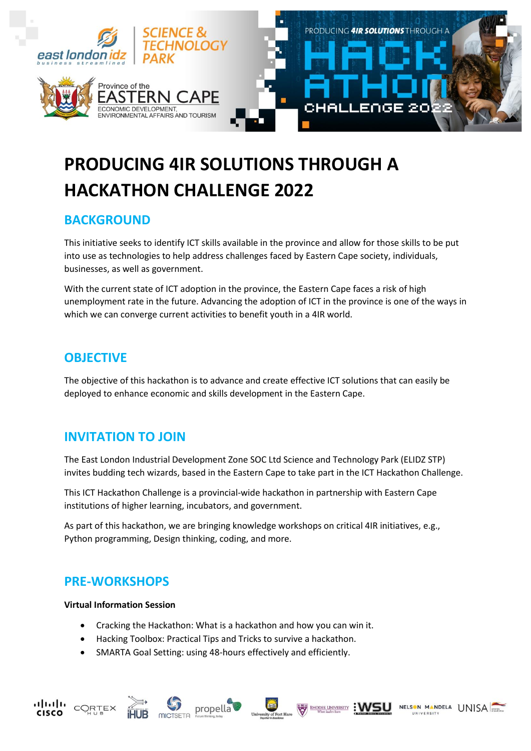

# **PRODUCING 4IR SOLUTIONS THROUGH A HACKATHON CHALLENGE 2022**

## **BACKGROUND**

This initiative seeks to identify ICT skills available in the province and allow for those skills to be put into use as technologies to help address challenges faced by Eastern Cape society, individuals, businesses, as well as government.

With the current state of ICT adoption in the province, the Eastern Cape faces a risk of high unemployment rate in the future. Advancing the adoption of ICT in the province is one of the ways in which we can converge current activities to benefit youth in a 4IR world.

### **OBJECTIVE**

The objective of this hackathon is to advance and create effective ICT solutions that can easily be deployed to enhance economic and skills development in the Eastern Cape.

### **INVITATION TO JOIN**

The East London Industrial Development Zone SOC Ltd Science and Technology Park (ELIDZ STP) invites budding tech wizards, based in the Eastern Cape to take part in the ICT Hackathon Challenge.

This ICT Hackathon Challenge is a provincial-wide hackathon in partnership with Eastern Cape institutions of higher learning, incubators, and government.

As part of this hackathon, we are bringing knowledge workshops on critical 4IR initiatives, e.g., Python programming, Design thinking, coding, and more.

NELSON MANDELA UNISA

**EVALUATION CONSULARY** : WSU

# **PRE-WORKSHOPS**

### **Virtual Information Session**

111,111,

**CISCO** 

CORTEX

- Cracking the Hackathon: What is a hackathon and how you can win it.
- Hacking Toolbox: Practical Tips and Tricks to survive a hackathon.
- SMARTA Goal Setting: using 48-hours effectively and efficiently.

propella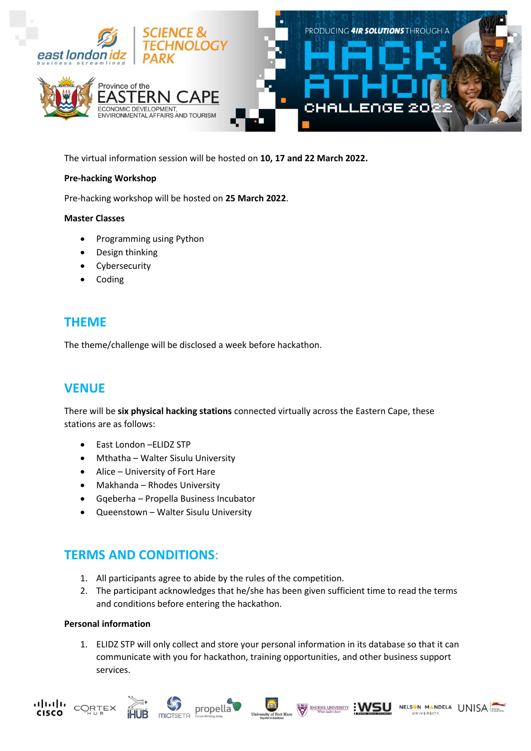

The virtual information session will be hosted on **10, 17 and 22 March 2022.**

### **Pre-hacking Workshop**

Pre-hacking workshop will be hosted on **25 March 2022**.

### **Master Classes**

- Programming using Python
- Design thinking
- Cybersecurity
- Coding

### **THEME**

The theme/challenge will be disclosed a week before hackathon.

### **VENUE**

There will be **six physical hacking stations** connected virtually across the Eastern Cape, these stations are as follows:

- East London –ELIDZ STP
- Mthatha Walter Sisulu University
- Alice University of Fort Hare
- Makhanda Rhodes University
- Gqeberha Propella Business Incubator
- Queenstown Walter Sisulu University

### **TERMS AND CONDITIONS**:

- 1. All participants agree to abide by the rules of the competition.
- 2. The participant acknowledges that he/she has been given sufficient time to read the terms and conditions before entering the hackathon.

### **Personal information**

1. ELIDZ STP will only collect and store your personal information in its database so that it can communicate with you for hackathon, training opportunities, and other business support services.









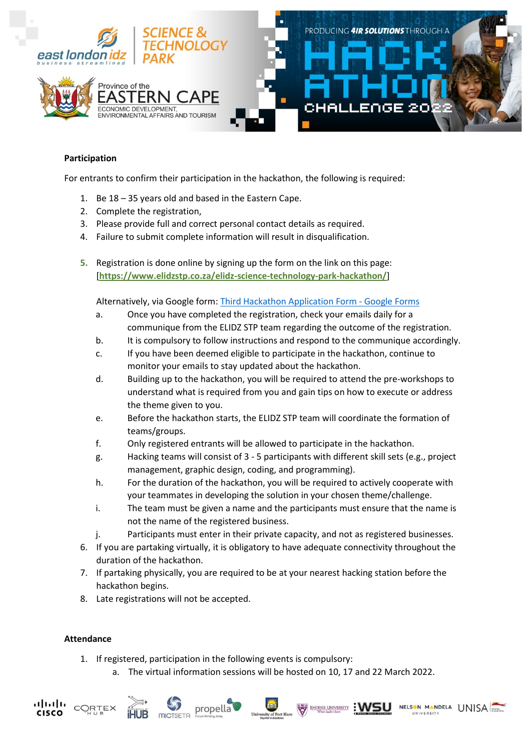

### **Participation**

For entrants to confirm their participation in the hackathon, the following is required:

- 1. Be 18 35 years old and based in the Eastern Cape.
- 2. Complete the registration,
- 3. Please provide full and correct personal contact details as required.
- 4. Failure to submit complete information will result in disqualification.
- **5.** Registration is done online by signing up the form on the link on this page: [**<https://www.elidzstp.co.za/elidz-science-technology-park-hackathon/>**]

Alternatively, via Google form: [Third Hackathon Application Form -](https://docs.google.com/forms/d/1GFCmTYn9Vjk9cqZ0lma1h9z3ChrrqRd4pj5W39C38U0/edit) Google Forms

- a. Once you have completed the registration, check your emails daily for a communique from the ELIDZ STP team regarding the outcome of the registration.
- b. It is compulsory to follow instructions and respond to the communique accordingly.
- c. If you have been deemed eligible to participate in the hackathon, continue to monitor your emails to stay updated about the hackathon.
- d. Building up to the hackathon, you will be required to attend the pre-workshops to understand what is required from you and gain tips on how to execute or address the theme given to you.
- e. Before the hackathon starts, the ELIDZ STP team will coordinate the formation of teams/groups.
- f. Only registered entrants will be allowed to participate in the hackathon.
- g. Hacking teams will consist of 3 5 participants with different skill sets (e.g., project management, graphic design, coding, and programming).
- h. For the duration of the hackathon, you will be required to actively cooperate with your teammates in developing the solution in your chosen theme/challenge.
- i. The team must be given a name and the participants must ensure that the name is not the name of the registered business.
- j. Participants must enter in their private capacity, and not as registered businesses.
- 6. If you are partaking virtually, it is obligatory to have adequate connectivity throughout the duration of the hackathon.
- 7. If partaking physically, you are required to be at your nearest hacking station before the hackathon begins.
- 8. Late registrations will not be accepted.

### **Attendance**

CORTEX

**CISCO** 

1. If registered, participation in the following events is compulsory:

propella

a. The virtual information sessions will be hosted on 10, 17 and 22 March 2022.

**EMODES UNIVERSITY : WSU** 

NELSON MANDELA UNISA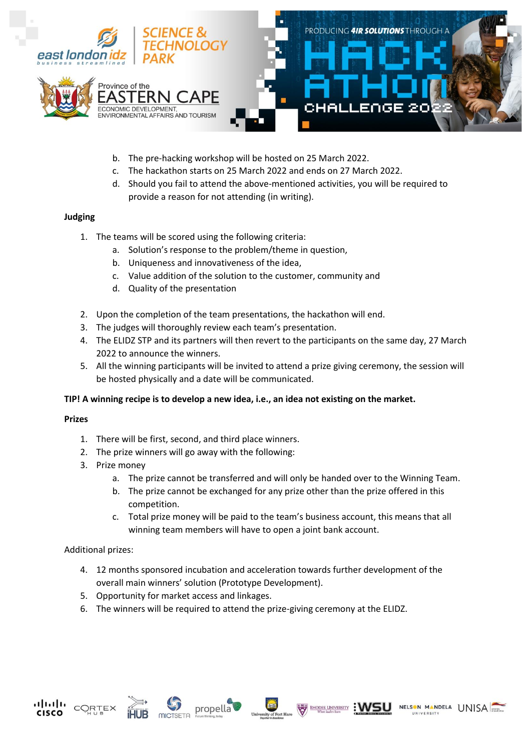

- b. The pre-hacking workshop will be hosted on 25 March 2022.
- c. The hackathon starts on 25 March 2022 and ends on 27 March 2022.
- d. Should you fail to attend the above-mentioned activities, you will be required to provide a reason for not attending (in writing).

### **Judging**

- 1. The teams will be scored using the following criteria:
	- a. Solution's response to the problem/theme in question,
	- b. Uniqueness and innovativeness of the idea,
	- c. Value addition of the solution to the customer, community and
	- d. Quality of the presentation
- 2. Upon the completion of the team presentations, the hackathon will end.
- 3. The judges will thoroughly review each team's presentation.
- 4. The ELIDZ STP and its partners will then revert to the participants on the same day, 27 March 2022 to announce the winners.
- 5. All the winning participants will be invited to attend a prize giving ceremony, the session will be hosted physically and a date will be communicated.

#### **TIP! A winning recipe is to develop a new idea, i.e., an idea not existing on the market.**

#### **Prizes**

- 1. There will be first, second, and third place winners.
- 2. The prize winners will go away with the following:
- 3. Prize money
	- a. The prize cannot be transferred and will only be handed over to the Winning Team.
	- b. The prize cannot be exchanged for any prize other than the prize offered in this competition.
	- c. Total prize money will be paid to the team's business account, this means that all winning team members will have to open a joint bank account.

### Additional prizes:

- 4. 12 months sponsored incubation and acceleration towards further development of the overall main winners' solution (Prototype Development).
- 5. Opportunity for market access and linkages.
- 6. The winners will be required to attend the prize-giving ceremony at the ELIDZ.





propella